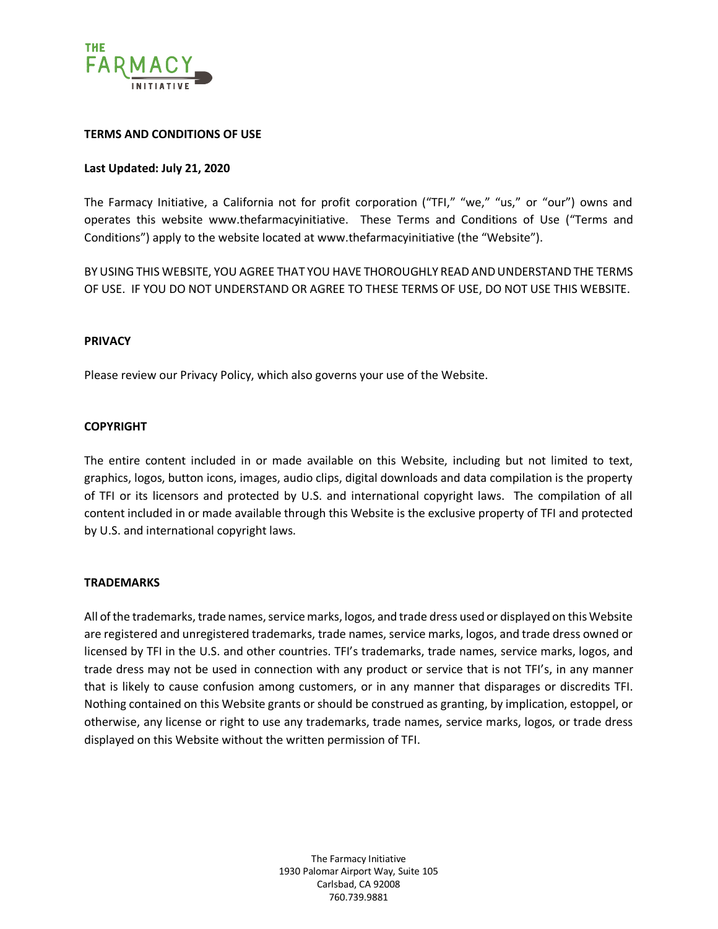

#### **TERMS AND CONDITIONS OF USE**

## **Last Updated: July 21, 2020**

The Farmacy Initiative, a California not for profit corporation ("TFI," "we," "us," or "our") owns and operates this website www.thefarmacyinitiative. These Terms and Conditions of Use ("Terms and Conditions") apply to the website located at www.thefarmacyinitiative (the "Website").

BY USING THIS WEBSITE, YOU AGREE THAT YOU HAVE THOROUGHLY READ AND UNDERSTAND THE TERMS OF USE. IF YOU DO NOT UNDERSTAND OR AGREE TO THESE TERMS OF USE, DO NOT USE THIS WEBSITE.

#### **PRIVACY**

Please review our Privacy Policy, which also governs your use of the Website.

## **COPYRIGHT**

The entire content included in or made available on this Website, including but not limited to text, graphics, logos, button icons, images, audio clips, digital downloads and data compilation is the property of TFI or its licensors and protected by U.S. and international copyright laws. The compilation of all content included in or made available through this Website is the exclusive property of TFI and protected by U.S. and international copyright laws.

#### **TRADEMARKS**

All of the trademarks, trade names, service marks, logos, and trade dress used or displayed on this Website are registered and unregistered trademarks, trade names, service marks, logos, and trade dress owned or licensed by TFI in the U.S. and other countries. TFI's trademarks, trade names, service marks, logos, and trade dress may not be used in connection with any product or service that is not TFI's, in any manner that is likely to cause confusion among customers, or in any manner that disparages or discredits TFI. Nothing contained on this Website grants or should be construed as granting, by implication, estoppel, or otherwise, any license or right to use any trademarks, trade names, service marks, logos, or trade dress displayed on this Website without the written permission of TFI.

> The Farmacy Initiative 1930 Palomar Airport Way, Suite 105 Carlsbad, CA 92008 760.739.9881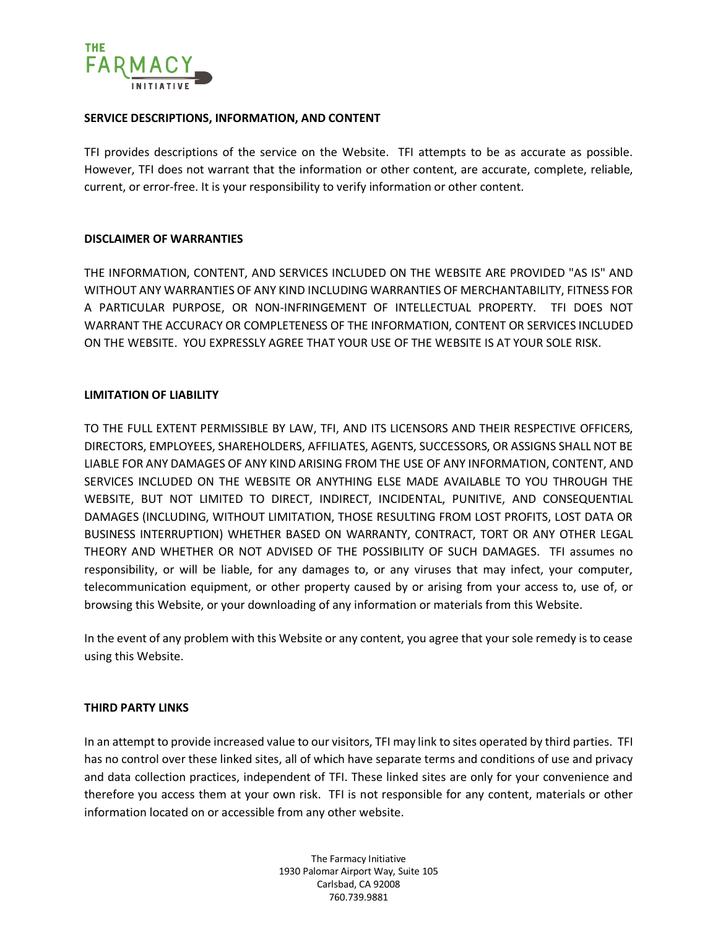

#### **SERVICE DESCRIPTIONS, INFORMATION, AND CONTENT**

TFI provides descriptions of the service on the Website. TFI attempts to be as accurate as possible. However, TFI does not warrant that the information or other content, are accurate, complete, reliable, current, or error-free. It is your responsibility to verify information or other content.

## **DISCLAIMER OF WARRANTIES**

THE INFORMATION, CONTENT, AND SERVICES INCLUDED ON THE WEBSITE ARE PROVIDED "AS IS" AND WITHOUT ANY WARRANTIES OF ANY KIND INCLUDING WARRANTIES OF MERCHANTABILITY, FITNESS FOR A PARTICULAR PURPOSE, OR NON-INFRINGEMENT OF INTELLECTUAL PROPERTY. TFI DOES NOT WARRANT THE ACCURACY OR COMPLETENESS OF THE INFORMATION, CONTENT OR SERVICES INCLUDED ON THE WEBSITE. YOU EXPRESSLY AGREE THAT YOUR USE OF THE WEBSITE IS AT YOUR SOLE RISK.

## **LIMITATION OF LIABILITY**

TO THE FULL EXTENT PERMISSIBLE BY LAW, TFI, AND ITS LICENSORS AND THEIR RESPECTIVE OFFICERS, DIRECTORS, EMPLOYEES, SHAREHOLDERS, AFFILIATES, AGENTS, SUCCESSORS, OR ASSIGNS SHALL NOT BE LIABLE FOR ANY DAMAGES OF ANY KIND ARISING FROM THE USE OF ANY INFORMATION, CONTENT, AND SERVICES INCLUDED ON THE WEBSITE OR ANYTHING ELSE MADE AVAILABLE TO YOU THROUGH THE WEBSITE, BUT NOT LIMITED TO DIRECT, INDIRECT, INCIDENTAL, PUNITIVE, AND CONSEQUENTIAL DAMAGES (INCLUDING, WITHOUT LIMITATION, THOSE RESULTING FROM LOST PROFITS, LOST DATA OR BUSINESS INTERRUPTION) WHETHER BASED ON WARRANTY, CONTRACT, TORT OR ANY OTHER LEGAL THEORY AND WHETHER OR NOT ADVISED OF THE POSSIBILITY OF SUCH DAMAGES. TFI assumes no responsibility, or will be liable, for any damages to, or any viruses that may infect, your computer, telecommunication equipment, or other property caused by or arising from your access to, use of, or browsing this Website, or your downloading of any information or materials from this Website.

In the event of any problem with this Website or any content, you agree that your sole remedy is to cease using this Website.

#### **THIRD PARTY LINKS**

In an attempt to provide increased value to our visitors, TFI may link to sites operated by third parties. TFI has no control over these linked sites, all of which have separate terms and conditions of use and privacy and data collection practices, independent of TFI. These linked sites are only for your convenience and therefore you access them at your own risk. TFI is not responsible for any content, materials or other information located on or accessible from any other website.

> The Farmacy Initiative 1930 Palomar Airport Way, Suite 105 Carlsbad, CA 92008 760.739.9881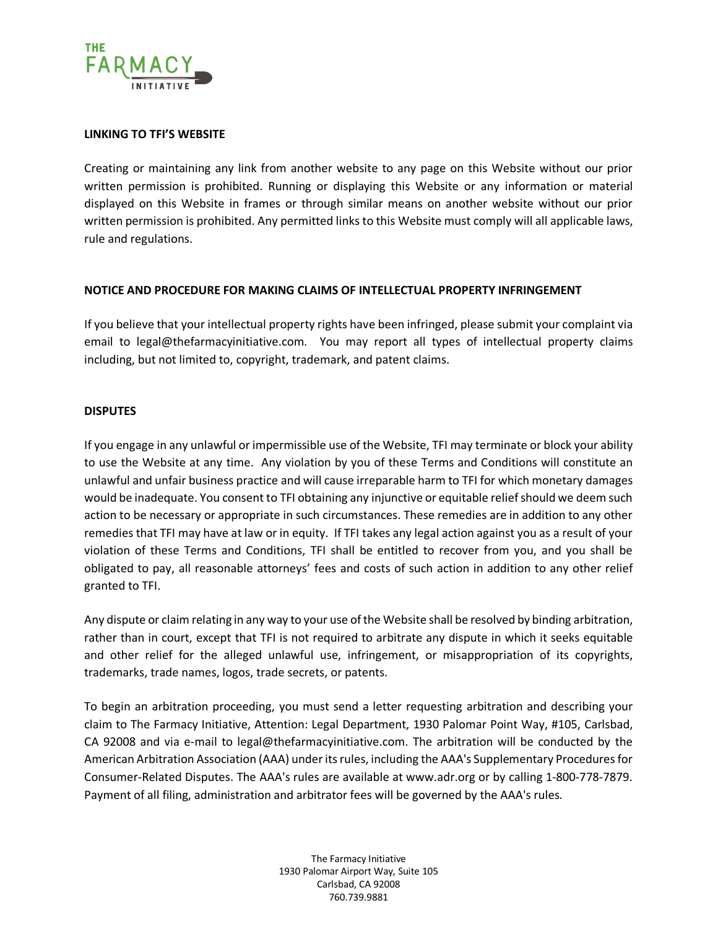

## **LINKING TO TFI'S WEBSITE**

Creating or maintaining any link from another website to any page on this Website without our prior written permission is prohibited. Running or displaying this Website or any information or material displayed on this Website in frames or through similar means on another website without our prior written permission is prohibited. Any permitted links to this Website must comply will all applicable laws, rule and regulations.

## **NOTICE AND PROCEDURE FOR MAKING CLAIMS OF INTELLECTUAL PROPERTY INFRINGEMENT**

If you believe that your intellectual property rights have been infringed, please submit your complaint via email to legal@thefarmacyinitiative.com. You may report all types of intellectual property claims including, but not limited to, copyright, trademark, and patent claims.

#### **DISPUTES**

If you engage in any unlawful or impermissible use of the Website, TFI may terminate or block your ability to use the Website at any time. Any violation by you of these Terms and Conditions will constitute an unlawful and unfair business practice and will cause irreparable harm to TFI for which monetary damages would be inadequate. You consent to TFI obtaining any injunctive or equitable relief should we deem such action to be necessary or appropriate in such circumstances. These remedies are in addition to any other remedies that TFI may have at law or in equity. If TFI takes any legal action against you as a result of your violation of these Terms and Conditions, TFI shall be entitled to recover from you, and you shall be obligated to pay, all reasonable attorneys' fees and costs of such action in addition to any other relief granted to TFI.

Any dispute or claim relating in any way to your use of the Website shall be resolved by binding arbitration, rather than in court, except that TFI is not required to arbitrate any dispute in which it seeks equitable and other relief for the alleged unlawful use, infringement, or misappropriation of its copyrights, trademarks, trade names, logos, trade secrets, or patents.

To begin an arbitration proceeding, you must send a letter requesting arbitration and describing your claim to The Farmacy Initiative, Attention: Legal Department, 1930 Palomar Point Way, #105, Carlsbad, CA 92008 and via e-mail to legal@thefarmacyinitiative.com. The arbitration will be conducted by the American Arbitration Association (AAA) under its rules, including the AAA's Supplementary Procedures for Consumer-Related Disputes. The AAA's rules are available at www.adr.org or by calling 1-800-778-7879. Payment of all filing, administration and arbitrator fees will be governed by the AAA's rules.

> The Farmacy Initiative 1930 Palomar Airport Way, Suite 105 Carlsbad, CA 92008 760.739.9881